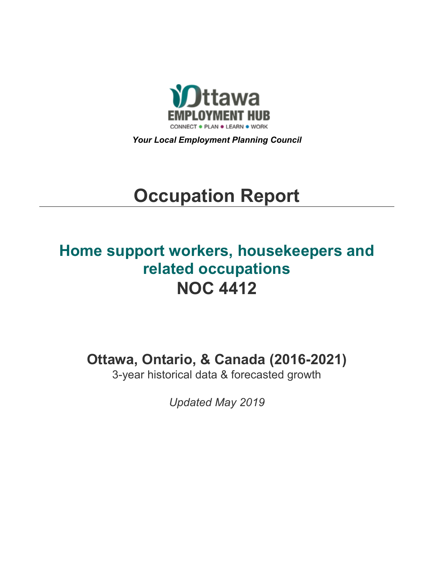

*Your Local Employment Planning Council*

# **Occupation Report**

# **Home support workers, housekeepers and related occupations NOC 4412**

**Ottawa, Ontario, & Canada (2016-2021)**

3-year historical data & forecasted growth

*Updated May 2019*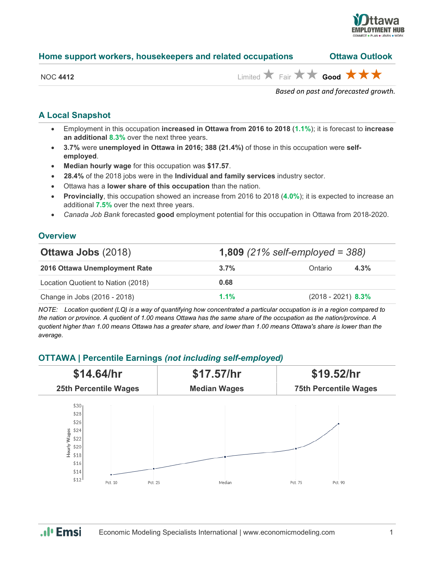

| Home support workers, housekeepers and related occupations | <b>Ottawa Outlook</b> |
|------------------------------------------------------------|-----------------------|
|------------------------------------------------------------|-----------------------|

NOC 4412 **Limited Fair**  $\star$  **Good**  $\star$  **f** 

*Based on past and forecasted growth.*

#### **A Local Snapshot**

- Employment in this occupation **increased in Ottawa from 2016 to 2018** (**1.1%**); it is forecast to **increase an additional 8.3%** over the next three years.
- **3.7%** were **unemployed in Ottawa in 2016; 388 (21.4%)** of those in this occupation were **selfemployed**.
- **Median hourly wage** for this occupation was **\$17.57**.
- **28.4%** of the 2018 jobs were in the **Individual and family services** industry sector.
- Ottawa has a **lower share of this occupation** than the nation.
- **Provincially**, this occupation showed an increase from 2016 to 2018 (**4.0%**); it is expected to increase an additional **7.5%** over the next three years.
- *Canada Job Bank* forecasted **good** employment potential for this occupation in Ottawa from 2018-2020.

#### **Overview**

| <b>Ottawa Jobs (2018)</b>          |         | <b>1,809</b> (21% self-employed = 388) |  |
|------------------------------------|---------|----------------------------------------|--|
| 2016 Ottawa Unemployment Rate      | $3.7\%$ | 4.3%<br>Ontario                        |  |
| Location Quotient to Nation (2018) | 0.68    |                                        |  |
| Change in Jobs (2016 - 2018)       | $1.1\%$ | $(2018 - 2021)$ 8.3%                   |  |

*NOTE: Location quotient (LQ) is a way of quantifying how concentrated a particular occupation is in a region compared to the nation or province. A quotient of 1.00 means Ottawa has the same share of the occupation as the nation/province. A quotient higher than 1.00 means Ottawa has a greater share, and lower than 1.00 means Ottawa's share is lower than the average.*

### **OTTAWA | Percentile Earnings** *(not including self-employed)*



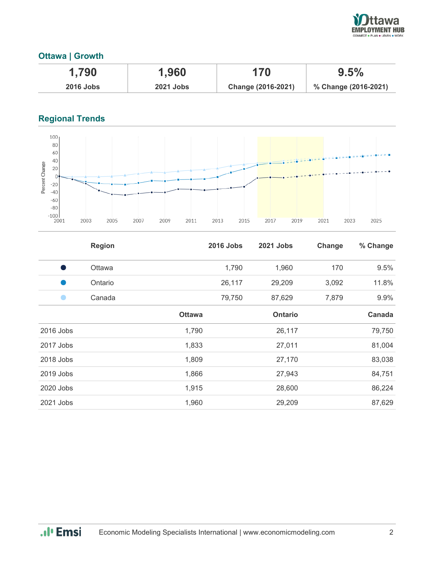

## **Ottawa | Growth**

| 1,790            | 1,960            | 170                | 9.5%                 |
|------------------|------------------|--------------------|----------------------|
| <b>2016 Jobs</b> | <b>2021 Jobs</b> | Change (2016-2021) | % Change (2016-2021) |

# **Regional Trends**



|           | <b>Region</b> |               | <b>2016 Jobs</b> | 2021 Jobs      | Change | % Change |
|-----------|---------------|---------------|------------------|----------------|--------|----------|
| s,        | <b>Ottawa</b> |               | 1,790            | 1,960          | 170    | 9.5%     |
|           | Ontario       |               | 26,117           | 29,209         | 3,092  | 11.8%    |
|           | Canada        |               | 79,750           | 87,629         | 7,879  | 9.9%     |
|           |               | <b>Ottawa</b> |                  | <b>Ontario</b> |        | Canada   |
| 2016 Jobs |               | 1,790         |                  | 26,117         |        | 79,750   |
| 2017 Jobs |               | 1,833         |                  | 27,011         |        | 81,004   |
| 2018 Jobs |               | 1,809         |                  | 27,170         |        | 83,038   |
| 2019 Jobs |               | 1,866         |                  | 27,943         |        | 84,751   |
| 2020 Jobs |               | 1,915         |                  | 28,600         |        | 86,224   |
| 2021 Jobs |               | 1,960         |                  | 29,209         |        | 87,629   |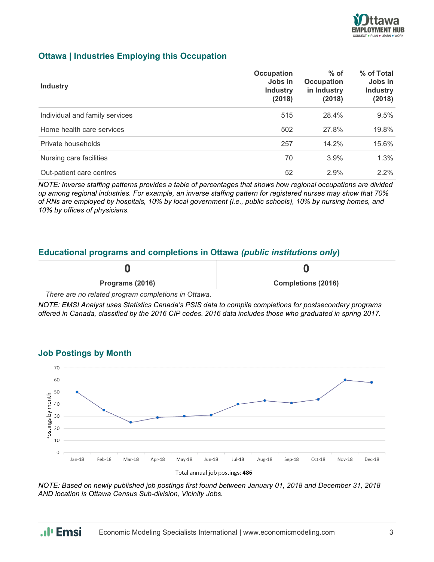

#### **Ottawa | Industries Employing this Occupation**

| <b>Industry</b>                | Occupation<br>Jobs in<br><b>Industry</b><br>(2018) | $%$ of<br>Occupation<br>in Industry<br>(2018) | % of Total<br>Jobs in<br><b>Industry</b><br>(2018) |
|--------------------------------|----------------------------------------------------|-----------------------------------------------|----------------------------------------------------|
| Individual and family services | 515                                                | 28.4%                                         | 9.5%                                               |
| Home health care services      | 502                                                | 27.8%                                         | 19.8%                                              |
| Private households             | 257                                                | 14.2%                                         | 15.6%                                              |
| Nursing care facilities        | 70                                                 | $3.9\%$                                       | 1.3%                                               |
| Out-patient care centres       | 52                                                 | 2.9%                                          | 2.2%                                               |

*NOTE: Inverse staffing patterns provides a table of percentages that shows how regional occupations are divided up among regional industries. For example, an inverse staffing pattern for registered nurses may show that 70% of RNs are employed by hospitals, 10% by local government (i.e., public schools), 10% by nursing homes, and 10% by offices of physicians.*

#### **Educational programs and completions in Ottawa** *(public institutions only***)**

| Programs (2016) | <b>Completions (2016)</b> |
|-----------------|---------------------------|

*There are no related program completions in Ottawa.*

.. I<sub>'</sub> Emsi

*NOTE: EMSI Analyst uses Statistics Canada's PSIS data to compile completions for postsecondary programs offered in Canada, classified by the 2016 CIP codes. 2016 data includes those who graduated in spring 2017.*



*NOTE: Based on newly published job postings first found between January 01, 2018 and December 31, 2018 AND location is Ottawa Census Sub-division, Vicinity Jobs.*